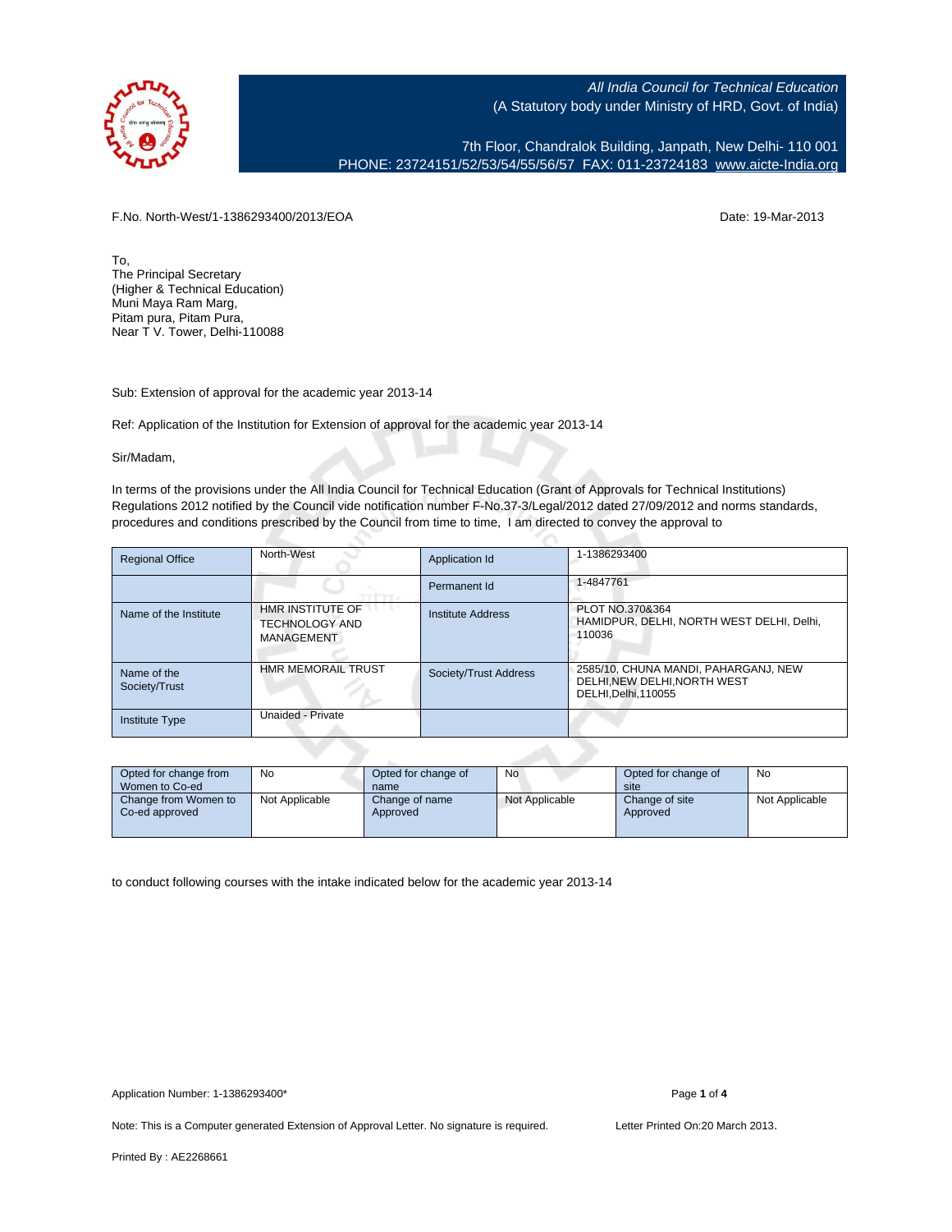

7th Floor, Chandralok Building, Janpath, New Delhi- 110 001 PHONE: 23724151/52/53/54/55/56/57 FAX: 011-23724183 [www.aicte-India.org](http://www.aicte-India.org)

F.No. North-West/1-1386293400/2013/EOA Date: 19-Mar-2013

To, The Principal Secretary (Higher & Technical Education) Muni Maya Ram Marg, Pitam pura, Pitam Pura, Near T V. Tower, Delhi-110088

Sub: Extension of approval for the academic year 2013-14

Ref: Application of the Institution for Extension of approval for the academic year 2013-14

Sir/Madam,

In terms of the provisions under the All India Council for Technical Education (Grant of Approvals for Technical Institutions) Regulations 2012 notified by the Council vide notification number F-No.37-3/Legal/2012 dated 27/09/2012 and norms standards, procedures and conditions prescribed by the Council from time to time, I am directed to convey the approval to

| <b>Regional Office</b>       | North-West                                              | Application Id        | 1-1386293400                                                                               |
|------------------------------|---------------------------------------------------------|-----------------------|--------------------------------------------------------------------------------------------|
|                              |                                                         | Permanent Id          | 1-4847761                                                                                  |
| Name of the Institute        | HMR INSTITUTE OF<br><b>TECHNOLOGY AND</b><br>MANAGEMENT | Institute Address     | PLOT NO.370&364<br>HAMIDPUR, DELHI, NORTH WEST DELHI, Delhi,<br>110036                     |
| Name of the<br>Society/Trust | <b>HMR MEMORAIL TRUST</b>                               | Society/Trust Address | 2585/10, CHUNA MANDI, PAHARGANJ, NEW<br>DELHI.NEW DELHI.NORTH WEST<br>DELHI, Delhi, 110055 |
| Institute Type               | Unaided - Private                                       |                       |                                                                                            |

| Opted for change from<br>Women to Co-ed | No             | Opted for change of<br>name | No             | Opted for change of<br>site | No             |
|-----------------------------------------|----------------|-----------------------------|----------------|-----------------------------|----------------|
| Change from Women to<br>Co-ed approved  | Not Applicable | Change of name<br>Approved  | Not Applicable | Change of site<br>Approved  | Not Applicable |

to conduct following courses with the intake indicated below for the academic year 2013-14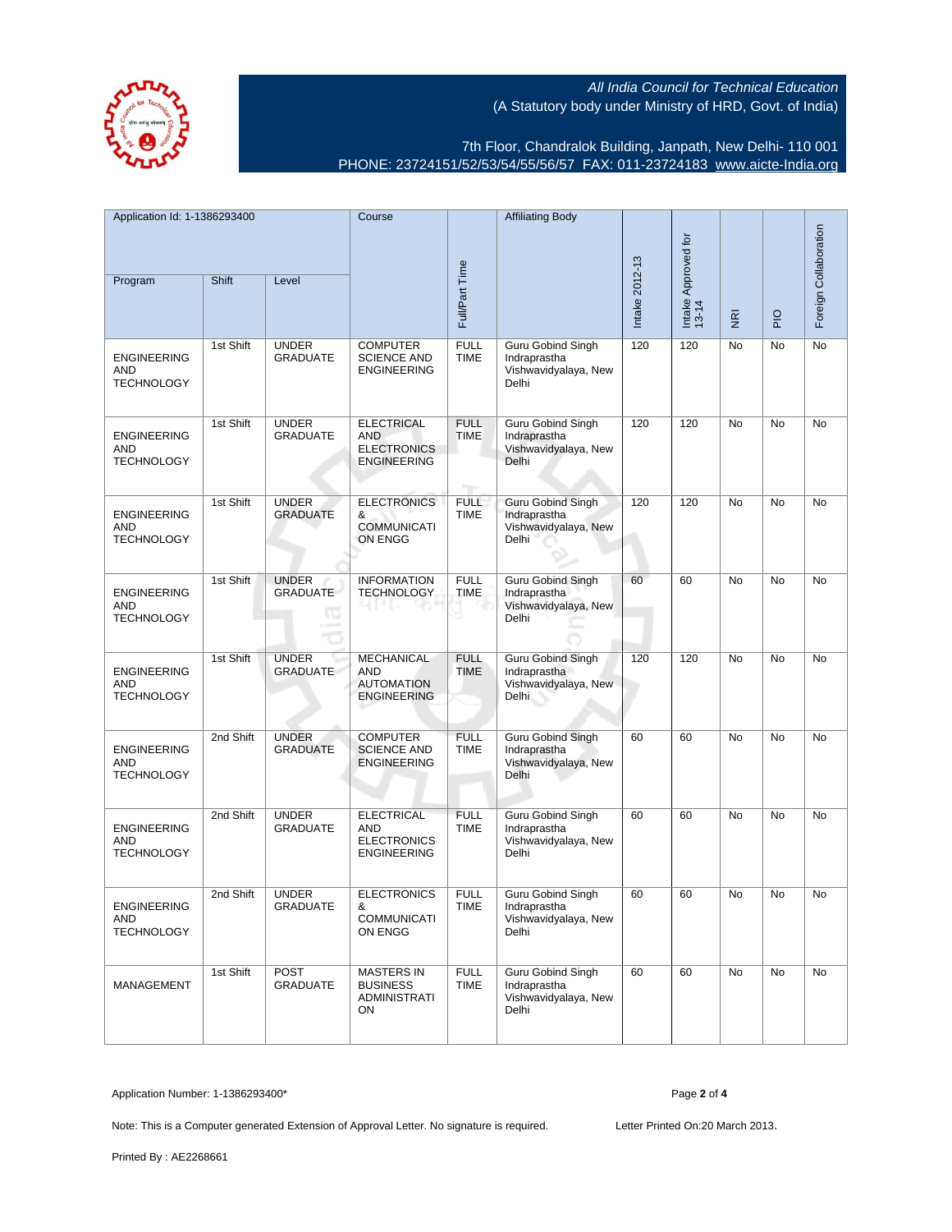7th Floor, Chandralok Building, Janpath, New Delhi- 110 001 PHONE: 23724151/52/53/54/55/56/57 FAX: 011-23724183 [www.aicte-India.org](http://www.aicte-India.org)

| Application Id: 1-1386293400<br>Shift<br>Level<br>Program |           | Course                               |                                                                             | <b>Affiliating Body</b>                   |                                                                           | Intake Approved for<br>13-14 |                |             | Foreign Collaboration |    |
|-----------------------------------------------------------|-----------|--------------------------------------|-----------------------------------------------------------------------------|-------------------------------------------|---------------------------------------------------------------------------|------------------------------|----------------|-------------|-----------------------|----|
|                                                           |           |                                      | Full/Part Time                                                              |                                           | Intake 2012-13                                                            |                              | $\overline{g}$ | $rac{O}{P}$ |                       |    |
| <b>ENGINEERING</b><br>AND<br><b>TECHNOLOGY</b>            | 1st Shift | <b>UNDER</b><br><b>GRADUATE</b>      | <b>COMPUTER</b><br><b>SCIENCE AND</b><br><b>ENGINEERING</b>                 | <b>FULL</b><br><b>TIME</b>                | Guru Gobind Singh<br>Indraprastha<br>Vishwavidyalaya, New<br>Delhi        | 120                          | 120            | No          | No                    | No |
| <b>ENGINEERING</b><br>AND<br><b>TECHNOLOGY</b>            | 1st Shift | <b>UNDER</b><br><b>GRADUATE</b>      | <b>ELECTRICAL</b><br><b>AND</b><br><b>ELECTRONICS</b><br><b>ENGINEERING</b> | <b>FULL</b><br><b>TIME</b><br><b>Tips</b> | <b>Guru Gobind Singh</b><br>Indraprastha<br>Vishwavidyalaya, New<br>Delhi | 120                          | 120            | No          | No                    | No |
| <b>ENGINEERING</b><br><b>AND</b><br><b>TECHNOLOGY</b>     | 1st Shift | <b>UNDER</b><br><b>GRADUATE</b>      | <b>ELECTRONICS</b><br>&<br><b>COMMUNICATI</b><br>ON ENGG                    | <b>FULL</b><br><b>TIME</b>                | <b>Guru Gobind Singh</b><br>Indraprastha<br>Vishwavidyalaya, New<br>Delhi | 120                          | 120            | <b>No</b>   | <b>No</b>             | No |
| <b>ENGINEERING</b><br>AND<br><b>TECHNOLOGY</b>            | 1st Shift | <b>UNDER</b><br><b>GRADUATE</b><br>Œ | <b>INFORMATION</b><br><b>TECHNOLOGY</b>                                     | <b>FULL</b><br><b>TIME</b>                | <b>Guru Gobind Singh</b><br>Indraprastha<br>Vishwavidyalaya, New<br>Delhi | 60                           | 60             | No          | No                    | No |
| <b>ENGINEERING</b><br>AND<br><b>TECHNOLOGY</b>            | 1st Shift | <b>UNDER</b><br><b>GRADUATE</b>      | MECHANICAL<br>AND<br><b>AUTOMATION</b><br><b>ENGINEERING</b>                | <b>FULL</b><br><b>TIME</b>                | <b>Guru Gobind Singh</b><br>Indraprastha<br>Vishwavidyalaya, New<br>Delhi | 120                          | 120            | No          | No                    | No |
| <b>ENGINEERING</b><br>AND<br><b>TECHNOLOGY</b>            | 2nd Shift | <b>UNDER</b><br>GRADUATE             | <b>COMPUTER</b><br><b>SCIENCE AND</b><br><b>ENGINEERING</b>                 | <b>FULL</b><br><b>TIME</b>                | <b>Guru Gobind Singh</b><br>Indraprastha<br>Vishwavidyalaya, New<br>Delhi | 60                           | 60             | <b>No</b>   | <b>No</b>             | No |
| <b>ENGINEERING</b><br>AND<br><b>TECHNOLOGY</b>            | 2nd Shift | <b>UNDER</b><br><b>GRADUATE</b>      | <b>ELECTRICAL</b><br><b>AND</b><br><b>ELECTRONICS</b><br><b>ENGINEERING</b> | <b>FULL</b><br><b>TIME</b>                | Guru Gobind Singh<br>Indraprastha<br>Vishwavidyalaya, New<br>Delhi        | 60                           | 60             | No          | No                    | No |
| <b>ENGINEERING</b><br>AND<br><b>TECHNOLOGY</b>            | 2nd Shift | <b>UNDER</b><br><b>GRADUATE</b>      | <b>ELECTRONICS</b><br>&<br><b>COMMUNICATI</b><br>ON ENGG                    | <b>FULL</b><br><b>TIME</b>                | Guru Gobind Singh<br>Indraprastha<br>Vishwavidyalaya, New<br>Delhi        | 60                           | 60             | No          | <b>No</b>             | No |
| MANAGEMENT                                                | 1st Shift | POST<br><b>GRADUATE</b>              | <b>MASTERS IN</b><br><b>BUSINESS</b><br><b>ADMINISTRATI</b><br>ON           | <b>FULL</b><br><b>TIME</b>                | <b>Guru Gobind Singh</b><br>Indraprastha<br>Vishwavidyalaya, New<br>Delhi | 60                           | 60             | No          | No                    | No |

Application Number: 1-1386293400\* Page **2** of **4**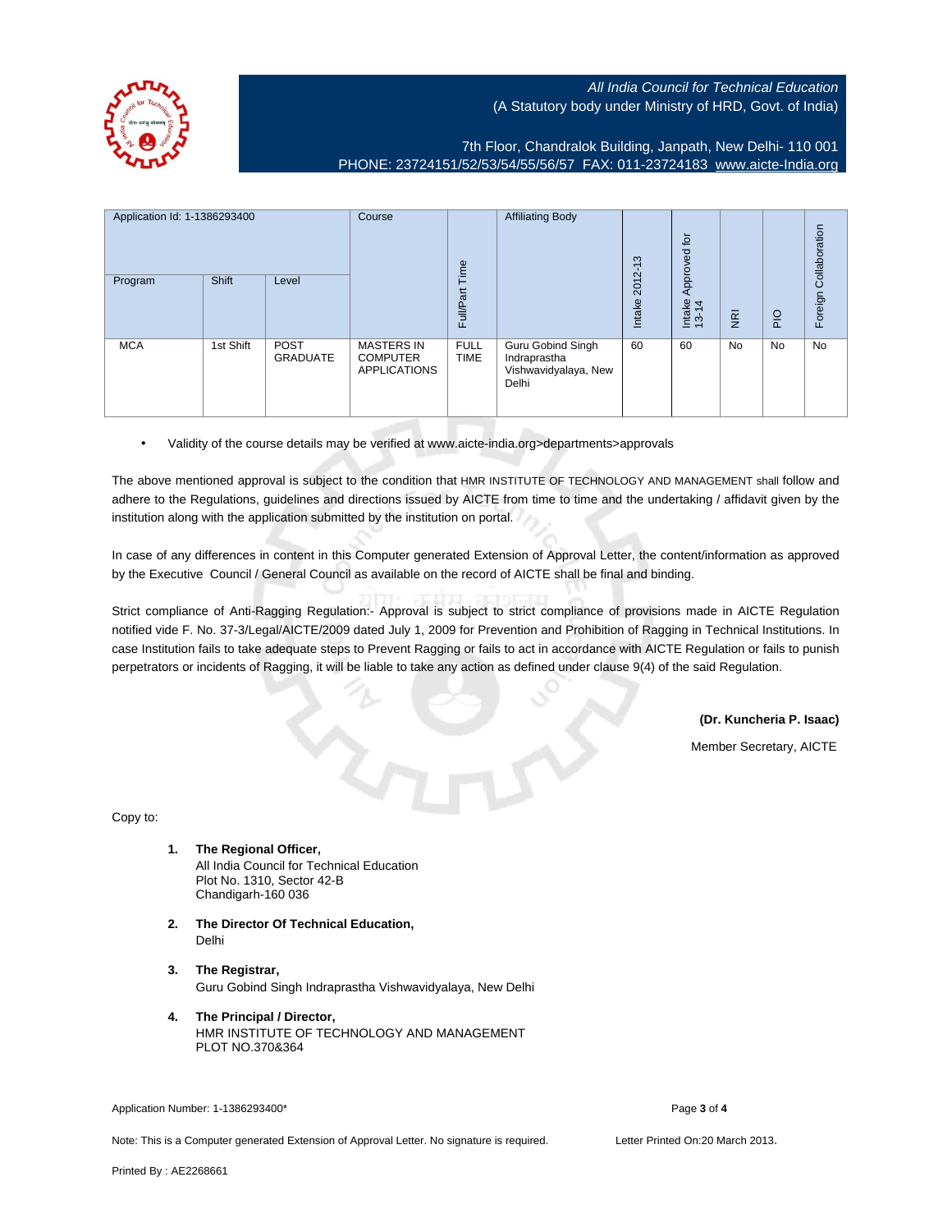

7th Floor, Chandralok Building, Janpath, New Delhi- 110 001 PHONE: 23724151/52/53/54/55/56/57 FAX: 011-23724183 [www.aicte-India.org](http://www.aicte-India.org)

| Application Id: 1-1386293400 |           | Course<br>Time                 | <b>Affiliating Body</b>                                     | ന<br>$\overline{\phantom{0}}$ | $\overline{c}$<br>Approved                                         |                    |                 |                |             |                       |
|------------------------------|-----------|--------------------------------|-------------------------------------------------------------|-------------------------------|--------------------------------------------------------------------|--------------------|-----------------|----------------|-------------|-----------------------|
| Program                      | Shift     | Level                          |                                                             | Full/Part                     |                                                                    | $2012 -$<br>Intake | Intake<br>13-14 | $\overline{g}$ | $rac{O}{P}$ | Foreign Collaboration |
| <b>MCA</b>                   | 1st Shift | <b>POST</b><br><b>GRADUATE</b> | <b>MASTERS IN</b><br><b>COMPUTER</b><br><b>APPLICATIONS</b> | <b>FULL</b><br><b>TIME</b>    | Guru Gobind Singh<br>Indraprastha<br>Vishwavidyalaya, New<br>Delhi | 60                 | 60              | <b>No</b>      | No          | No                    |

• Validity of the course details may be verified at www.aicte-india.org>departments>approvals

The above mentioned approval is subject to the condition that HMR INSTITUTE OF TECHNOLOGY AND MANAGEMENT shall follow and adhere to the Regulations, guidelines and directions issued by AICTE from time to time and the undertaking / affidavit given by the institution along with the application submitted by the institution on portal.

In case of any differences in content in this Computer generated Extension of Approval Letter, the content/information as approved by the Executive Council / General Council as available on the record of AICTE shall be final and binding.

Strict compliance of Anti-Ragging Regulation:- Approval is subject to strict compliance of provisions made in AICTE Regulation notified vide F. No. 37-3/Legal/AICTE/2009 dated July 1, 2009 for Prevention and Prohibition of Ragging in Technical Institutions. In case Institution fails to take adequate steps to Prevent Ragging or fails to act in accordance with AICTE Regulation or fails to punish perpetrators or incidents of Ragging, it will be liable to take any action as defined under clause 9(4) of the said Regulation.

**(Dr. Kuncheria P. Isaac)**

Member Secretary, AICTE

Copy to:

- **1. The Regional Officer,** All India Council for Technical Education Plot No. 1310, Sector 42-B Chandigarh-160 036
- **2. The Director Of Technical Education,** Delhi
- **3. The Registrar,** Guru Gobind Singh Indraprastha Vishwavidyalaya, New Delhi
- **4. The Principal / Director,** HMR INSTITUTE OF TECHNOLOGY AND MANAGEMENT PLOT NO.370&364

Application Number: 1-1386293400\* Page **3** of **4**